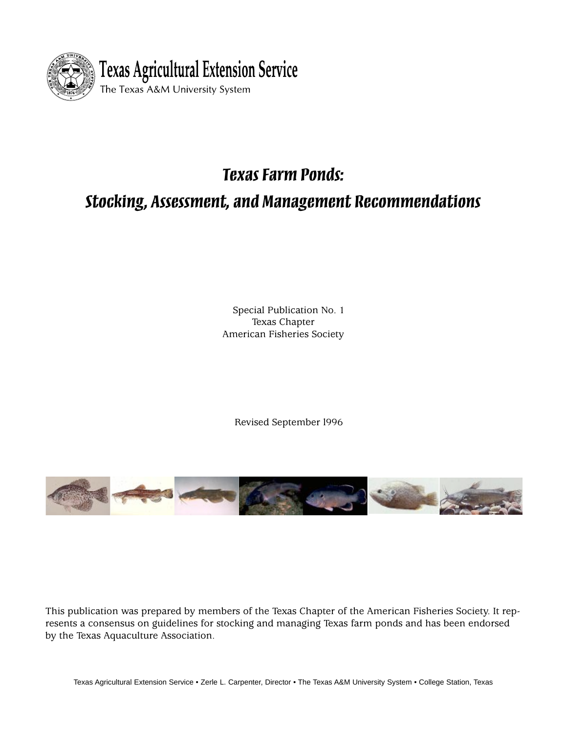

# *Texas Farm Ponds:*

# *Stocking, Assessment, and Management Recommendations*

Special Publication No. 1 Texas Chapter American Fisheries Society

Revised September l996



This publication was prepared by members of the Texas Chapter of the American Fisheries Society. It represents a consensus on guidelines for stocking and managing Texas farm ponds and has been endorsed by the Texas Aquaculture Association.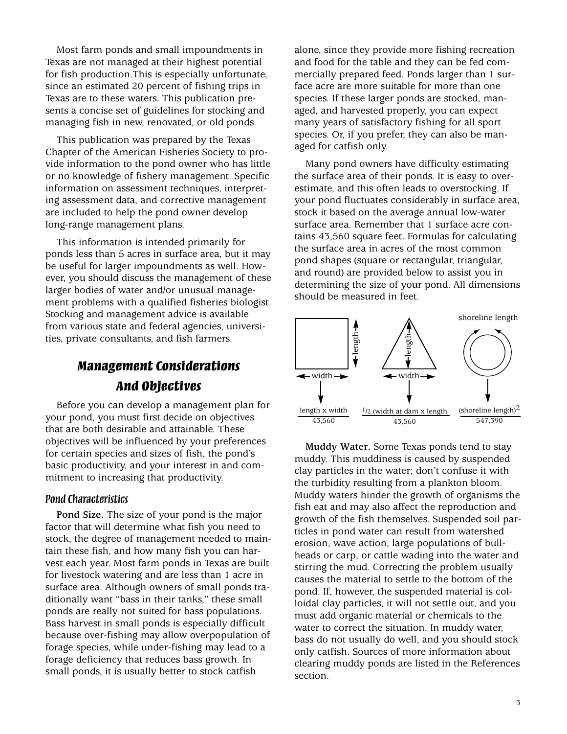Most farm ponds and small impoundments in Texas are not managed at their highest potential for fish production.This is especially unfortunate, since an estimated 20 percent of fishing trips in Texas are to these waters. This publication presents a concise set of guidelines for stocking and managing fish in new, renovated, or old ponds.

This publication was prepared by the Texas Chapter of the American Fisheries Society to provide information to the pond owner who has little or no knowledge of fishery management. Specific information on assessment techniques, interpreting assessment data, and corrective management are included to help the pond owner develop long-range management plans.

This information is intended primarily for ponds less than 5 acres in surface area, but it may be useful for larger impoundments as well. However, you should discuss the management of these larger bodies of water and/or unusual management problems with a qualified fisheries biologist. Stocking and management advice is available from various state and federal agencies, universities, private consultants, and fish farmers.

# *Management Considerations And Objectives*

Before you can develop a management plan for your pond, you must first decide on objectives that are both desirable and attainable. These objectives will be influenced by your preferences for certain species and sizes of fish, the pond's basic productivity, and your interest in and commitment to increasing that productivity.

#### *Pond Characteristics*

**Pond Size.** The size of your pond is the major factor that will determine what fish you need to stock, the degree of management needed to maintain these fish, and how many fish you can harvest each year. Most farm ponds in Texas are built for livestock watering and are less than 1 acre in surface area. Although owners of small ponds traditionally want "bass in their tanks," these small ponds are really not suited for bass populations. Bass harvest in small ponds is especially difficult because over-fishing may allow overpopulation of forage species, while under-fishing may lead to a forage deficiency that reduces bass growth. In small ponds, it is usually better to stock catfish

alone, since they provide more fishing recreation and food for the table and they can be fed commercially prepared feed. Ponds larger than 1 surface acre are more suitable for more than one species. If these larger ponds are stocked, managed, and harvested properly, you can expect many years of satisfactory fishing for all sport species. Or, if you prefer, they can also be managed for catfish only.

Many pond owners have difficulty estimating the surface area of their ponds. It is easy to overestimate, and this often leads to overstocking. If your pond fluctuates considerably in surface area, stock it based on the average annual low-water surface area. Remember that 1 surface acre contains 43,560 square feet. Formulas for calculating the surface area in acres of the most common pond shapes (square or rectangular, triangular, and round) are provided below to assist you in determining the size of your pond. All dimensions should be measured in feet.



**Muddy Water.** Some Texas ponds tend to stay muddy. This muddiness is caused by suspended clay particles in the water; don't confuse it with the turbidity resulting from a plankton bloom. Muddy waters hinder the growth of organisms the fish eat and may also affect the reproduction and growth of the fish themselves. Suspended soil particles in pond water can result from watershed erosion, wave action, large populations of bullheads or carp, or cattle wading into the water and stirring the mud. Correcting the problem usually causes the material to settle to the bottom of the pond. If, however, the suspended material is colloidal clay particles, it will not settle out, and you must add organic material or chemicals to the water to correct the situation. In muddy water, bass do not usually do well, and you should stock only catfish. Sources of more information about clearing muddy ponds are listed in the References section.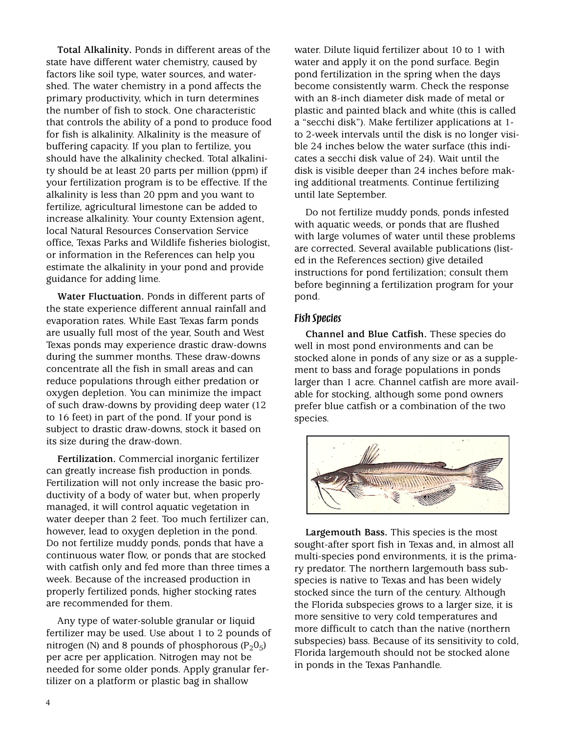**Total Alkalinity.** Ponds in different areas of the state have different water chemistry, caused by factors like soil type, water sources, and watershed. The water chemistry in a pond affects the primary productivity, which in turn determines the number of fish to stock. One characteristic that controls the ability of a pond to produce food for fish is alkalinity. Alkalinity is the measure of buffering capacity. If you plan to fertilize, you should have the alkalinity checked. Total alkalinity should be at least 20 parts per million (ppm) if your fertilization program is to be effective. If the alkalinity is less than 20 ppm and you want to fertilize, agricultural limestone can be added to increase alkalinity. Your county Extension agent, local Natural Resources Conservation Service office, Texas Parks and Wildlife fisheries biologist, or information in the References can help you estimate the alkalinity in your pond and provide guidance for adding lime.

**Water Fluctuation.** Ponds in different parts of the state experience different annual rainfall and evaporation rates. While East Texas farm ponds are usually full most of the year, South and West Texas ponds may experience drastic draw-downs during the summer months. These draw-downs concentrate all the fish in small areas and can reduce populations through either predation or oxygen depletion. You can minimize the impact of such draw-downs by providing deep water (12 to 16 feet) in part of the pond. If your pond is subject to drastic draw-downs, stock it based on its size during the draw-down.

**Fertilization.** Commercial inorganic fertilizer can greatly increase fish production in ponds. Fertilization will not only increase the basic productivity of a body of water but, when properly managed, it will control aquatic vegetation in water deeper than 2 feet. Too much fertilizer can, however, lead to oxygen depletion in the pond. Do not fertilize muddy ponds, ponds that have a continuous water flow, or ponds that are stocked with catfish only and fed more than three times a week. Because of the increased production in properly fertilized ponds, higher stocking rates are recommended for them.

Any type of water-soluble granular or liquid fertilizer may be used. Use about 1 to 2 pounds of nitrogen (N) and 8 pounds of phosphorous  $(P_2O_5)$ per acre per application. Nitrogen may not be needed for some older ponds. Apply granular fertilizer on a platform or plastic bag in shallow

water. Dilute liquid fertilizer about 10 to 1 with water and apply it on the pond surface. Begin pond fertilization in the spring when the days become consistently warm. Check the response with an 8-inch diameter disk made of metal or plastic and painted black and white (this is called a "secchi disk"). Make fertilizer applications at 1 to 2-week intervals until the disk is no longer visible 24 inches below the water surface (this indicates a secchi disk value of 24). Wait until the disk is visible deeper than 24 inches before making additional treatments. Continue fertilizing until late September.

Do not fertilize muddy ponds, ponds infested with aquatic weeds, or ponds that are flushed with large volumes of water until these problems are corrected. Several available publications (listed in the References section) give detailed instructions for pond fertilization; consult them before beginning a fertilization program for your pond.

#### *Fish Species*

**Channel and Blue Catfish.** These species do well in most pond environments and can be stocked alone in ponds of any size or as a supplement to bass and forage populations in ponds larger than 1 acre. Channel catfish are more available for stocking, although some pond owners prefer blue catfish or a combination of the two species.



**Largemouth Bass.** This species is the most sought-after sport fish in Texas and, in almost all multi-species pond environments, it is the primary predator. The northern largemouth bass subspecies is native to Texas and has been widely stocked since the turn of the century. Although the Florida subspecies grows to a larger size, it is more sensitive to very cold temperatures and more difficult to catch than the native (northern subspecies) bass. Because of its sensitivity to cold, Florida largemouth should not be stocked alone in ponds in the Texas Panhandle.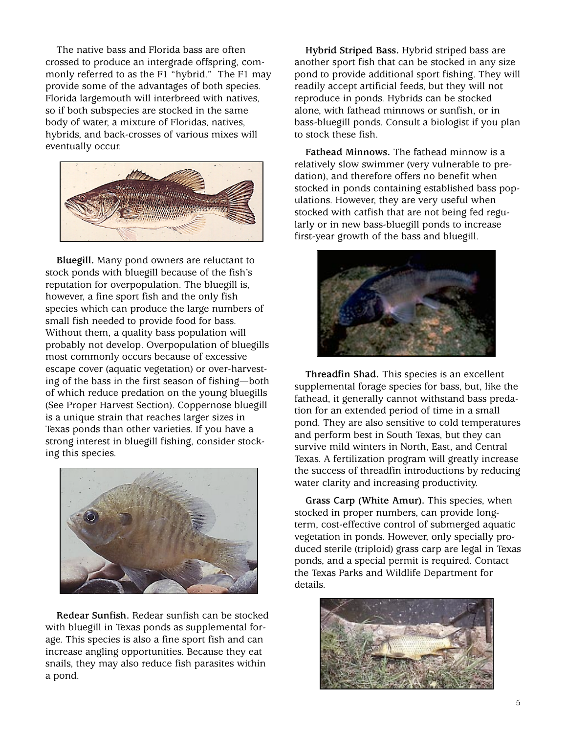The native bass and Florida bass are often crossed to produce an intergrade offspring, commonly referred to as the F1 "hybrid." The F1 may provide some of the advantages of both species. Florida largemouth will interbreed with natives, so if both subspecies are stocked in the same body of water, a mixture of Floridas, natives, hybrids, and back-crosses of various mixes will eventually occur.



**Bluegill.** Many pond owners are reluctant to stock ponds with bluegill because of the fish's reputation for overpopulation. The bluegill is, however, a fine sport fish and the only fish species which can produce the large numbers of small fish needed to provide food for bass. Without them, a quality bass population will probably not develop. Overpopulation of bluegills most commonly occurs because of excessive escape cover (aquatic vegetation) or over-harvesting of the bass in the first season of fishing—both of which reduce predation on the young bluegills (See Proper Harvest Section). Coppernose bluegill is a unique strain that reaches larger sizes in Texas ponds than other varieties. If you have a strong interest in bluegill fishing, consider stocking this species.



**Redear Sunfish.** Redear sunfish can be stocked with bluegill in Texas ponds as supplemental forage. This species is also a fine sport fish and can increase angling opportunities. Because they eat snails, they may also reduce fish parasites within a pond.

**Hybrid Striped Bass.** Hybrid striped bass are another sport fish that can be stocked in any size pond to provide additional sport fishing. They will readily accept artificial feeds, but they will not reproduce in ponds. Hybrids can be stocked alone, with fathead minnows or sunfish, or in bass-bluegill ponds. Consult a biologist if you plan to stock these fish.

**Fathead Minnows.** The fathead minnow is a relatively slow swimmer (very vulnerable to predation), and therefore offers no benefit when stocked in ponds containing established bass populations. However, they are very useful when stocked with catfish that are not being fed regularly or in new bass-bluegill ponds to increase first-year growth of the bass and bluegill.



**Threadfin Shad.** This species is an excellent supplemental forage species for bass, but, like the fathead, it generally cannot withstand bass predation for an extended period of time in a small pond. They are also sensitive to cold temperatures and perform best in South Texas, but they can survive mild winters in North, East, and Central Texas. A fertilization program will greatly increase the success of threadfin introductions by reducing water clarity and increasing productivity.

**Grass Carp (White Amur).** This species, when stocked in proper numbers, can provide longterm, cost-effective control of submerged aquatic vegetation in ponds. However, only specially produced sterile (triploid) grass carp are legal in Texas ponds, and a special permit is required. Contact the Texas Parks and Wildlife Department for details.

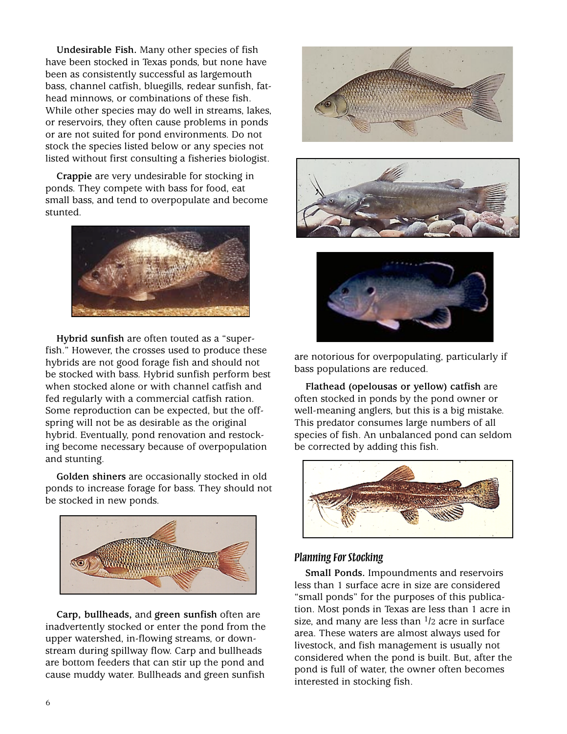**Undesirable Fish.** Many other species of fish have been stocked in Texas ponds, but none have been as consistently successful as largemouth bass, channel catfish, bluegills, redear sunfish, fathead minnows, or combinations of these fish. While other species may do well in streams, lakes, or reservoirs, they often cause problems in ponds or are not suited for pond environments. Do not stock the species listed below or any species not listed without first consulting a fisheries biologist.

**Crappie** are very undesirable for stocking in ponds. They compete with bass for food, eat small bass, and tend to overpopulate and become stunted.



**Hybrid sunfish** are often touted as a "superfish." However, the crosses used to produce these hybrids are not good forage fish and should not be stocked with bass. Hybrid sunfish perform best when stocked alone or with channel catfish and fed regularly with a commercial catfish ration. Some reproduction can be expected, but the offspring will not be as desirable as the original hybrid. Eventually, pond renovation and restocking become necessary because of overpopulation and stunting.

**Golden shiners** are occasionally stocked in old ponds to increase forage for bass. They should not be stocked in new ponds.



**Carp, bullheads,** and **green sunfish** often are inadvertently stocked or enter the pond from the upper watershed, in-flowing streams, or downstream during spillway flow. Carp and bullheads are bottom feeders that can stir up the pond and cause muddy water. Bullheads and green sunfish







are notorious for overpopulating, particularly if bass populations are reduced.

**Flathead (opelousas or yellow) catfish** are often stocked in ponds by the pond owner or well-meaning anglers, but this is a big mistake. This predator consumes large numbers of all species of fish. An unbalanced pond can seldom be corrected by adding this fish.



#### *Planning For Stocking*

**Small Ponds.** Impoundments and reservoirs less than 1 surface acre in size are considered "small ponds" for the purposes of this publication. Most ponds in Texas are less than 1 acre in size, and many are less than  $1/2$  acre in surface area. These waters are almost always used for livestock, and fish management is usually not considered when the pond is built. But, after the pond is full of water, the owner often becomes interested in stocking fish.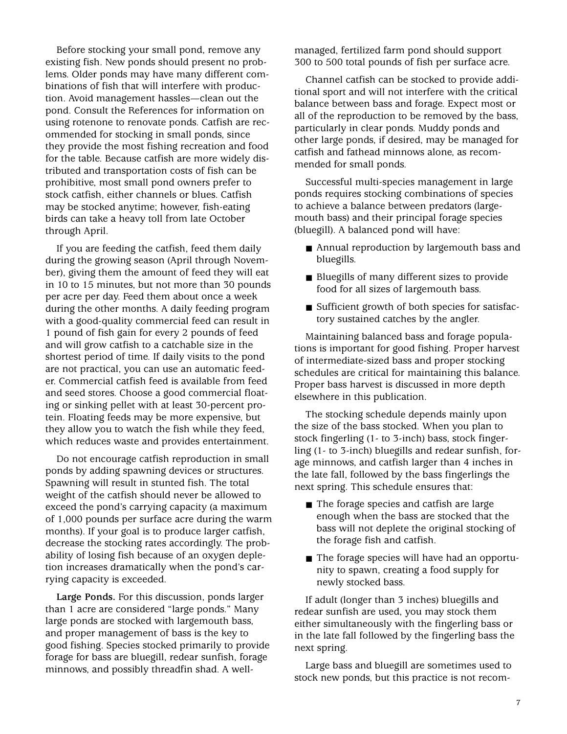Before stocking your small pond, remove any existing fish. New ponds should present no problems. Older ponds may have many different combinations of fish that will interfere with production. Avoid management hassles—clean out the pond. Consult the References for information on using rotenone to renovate ponds. Catfish are recommended for stocking in small ponds, since they provide the most fishing recreation and food for the table. Because catfish are more widely distributed and transportation costs of fish can be prohibitive, most small pond owners prefer to stock catfish, either channels or blues. Catfish may be stocked anytime; however, fish-eating birds can take a heavy toll from late October through April.

If you are feeding the catfish, feed them daily during the growing season (April through November), giving them the amount of feed they will eat in 10 to 15 minutes, but not more than 30 pounds per acre per day. Feed them about once a week during the other months. A daily feeding program with a good-quality commercial feed can result in 1 pound of fish gain for every 2 pounds of feed and will grow catfish to a catchable size in the shortest period of time. If daily visits to the pond are not practical, you can use an automatic feeder. Commercial catfish feed is available from feed and seed stores. Choose a good commercial floating or sinking pellet with at least 30-percent protein. Floating feeds may be more expensive, but they allow you to watch the fish while they feed, which reduces waste and provides entertainment.

Do not encourage catfish reproduction in small ponds by adding spawning devices or structures. Spawning will result in stunted fish. The total weight of the catfish should never be allowed to exceed the pond's carrying capacity (a maximum of 1,000 pounds per surface acre during the warm months). If your goal is to produce larger catfish, decrease the stocking rates accordingly. The probability of losing fish because of an oxygen depletion increases dramatically when the pond's carrying capacity is exceeded.

**Large Ponds.** For this discussion, ponds larger than 1 acre are considered "large ponds." Many large ponds are stocked with largemouth bass, and proper management of bass is the key to good fishing. Species stocked primarily to provide forage for bass are bluegill, redear sunfish, forage minnows, and possibly threadfin shad. A wellmanaged, fertilized farm pond should support 300 to 500 total pounds of fish per surface acre.

Channel catfish can be stocked to provide additional sport and will not interfere with the critical balance between bass and forage. Expect most or all of the reproduction to be removed by the bass, particularly in clear ponds. Muddy ponds and other large ponds, if desired, may be managed for catfish and fathead minnows alone, as recommended for small ponds.

Successful multi-species management in large ponds requires stocking combinations of species to achieve a balance between predators (largemouth bass) and their principal forage species (bluegill). A balanced pond will have:

- Annual reproduction by largemouth bass and bluegills.
- Bluegills of many different sizes to provide food for all sizes of largemouth bass.
- Sufficient growth of both species for satisfactory sustained catches by the angler.

Maintaining balanced bass and forage populations is important for good fishing. Proper harvest of intermediate-sized bass and proper stocking schedules are critical for maintaining this balance. Proper bass harvest is discussed in more depth elsewhere in this publication.

The stocking schedule depends mainly upon the size of the bass stocked. When you plan to stock fingerling (1- to 3-inch) bass, stock fingerling (1- to 3-inch) bluegills and redear sunfish, forage minnows, and catfish larger than 4 inches in the late fall, followed by the bass fingerlings the next spring. This schedule ensures that:

- The forage species and catfish are large enough when the bass are stocked that the bass will not deplete the original stocking of the forage fish and catfish.
- The forage species will have had an opportunity to spawn, creating a food supply for newly stocked bass.

If adult (longer than 3 inches) bluegills and redear sunfish are used, you may stock them either simultaneously with the fingerling bass or in the late fall followed by the fingerling bass the next spring.

Large bass and bluegill are sometimes used to stock new ponds, but this practice is not recom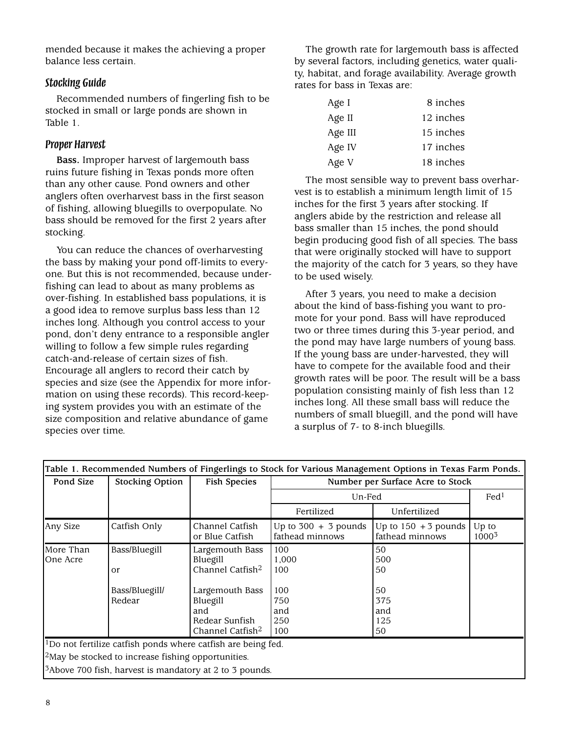mended because it makes the achieving a proper balance less certain.

#### *Stocking Guide*

Recommended numbers of fingerling fish to be stocked in small or large ponds are shown in Table 1.

#### *Proper Harvest*

**Bass.** Improper harvest of largemouth bass ruins future fishing in Texas ponds more often than any other cause. Pond owners and other anglers often overharvest bass in the first season of fishing, allowing bluegills to overpopulate. No bass should be removed for the first 2 years after stocking.

You can reduce the chances of overharvesting the bass by making your pond off-limits to everyone. But this is not recommended, because underfishing can lead to about as many problems as over-fishing. In established bass populations, it is a good idea to remove surplus bass less than 12 inches long. Although you control access to your pond, don't deny entrance to a responsible angler willing to follow a few simple rules regarding catch-and-release of certain sizes of fish. Encourage all anglers to record their catch by species and size (see the Appendix for more information on using these records). This record-keeping system provides you with an estimate of the size composition and relative abundance of game species over time.

The growth rate for largemouth bass is affected by several factors, including genetics, water quality, habitat, and forage availability. Average growth rates for bass in Texas are:

| Age I   | 8 inches  |
|---------|-----------|
| Age II  | 12 inches |
| Age III | 15 inches |
| Age IV  | 17 inches |
| Age V   | 18 inches |

The most sensible way to prevent bass overharvest is to establish a minimum length limit of 15 inches for the first 3 years after stocking. If anglers abide by the restriction and release all bass smaller than 15 inches, the pond should begin producing good fish of all species. The bass that were originally stocked will have to support the majority of the catch for 3 years, so they have to be used wisely.

After 3 years, you need to make a decision about the kind of bass-fishing you want to promote for your pond. Bass will have reproduced two or three times during this 3-year period, and the pond may have large numbers of young bass. If the young bass are under-harvested, they will have to compete for the available food and their growth rates will be poor. The result will be a bass population consisting mainly of fish less than 12 inches long. All these small bass will reduce the numbers of small bluegill, and the pond will have a surplus of 7- to 8-inch bluegills.

|                                           | <b>Fish Species</b>                                                                                                                                 |                                                                 |                                                                                                                                                         |                            |  |  |  |  |  |  |
|-------------------------------------------|-----------------------------------------------------------------------------------------------------------------------------------------------------|-----------------------------------------------------------------|---------------------------------------------------------------------------------------------------------------------------------------------------------|----------------------------|--|--|--|--|--|--|
|                                           |                                                                                                                                                     |                                                                 | <b>Stocking Option</b><br>Number per Surface Acre to Stock<br>Pond Size                                                                                 |                            |  |  |  |  |  |  |
|                                           |                                                                                                                                                     | Un-Fed                                                          |                                                                                                                                                         |                            |  |  |  |  |  |  |
|                                           |                                                                                                                                                     | Fertilized                                                      | Unfertilized                                                                                                                                            |                            |  |  |  |  |  |  |
| Catfish Only                              | Channel Catfish<br>or Blue Catfish                                                                                                                  | Up to $300 + 3$ pounds<br>fathead minnows                       | Up to $150 + 3$ pounds<br>fathead minnows                                                                                                               | Up to<br>1000 <sup>3</sup> |  |  |  |  |  |  |
| Bass/Bluegill<br>Bass/Bluegill/<br>Redear | Largemouth Bass<br>Bluegill<br>Channel Catfish <sup>2</sup><br>Largemouth Bass<br>Bluegill<br>and<br>Redear Sunfish<br>Channel Catfish <sup>2</sup> | 100<br>1,000<br>100<br>100<br>750<br>and<br>250<br>100          | 50<br>500<br>50<br>50<br>375<br>and<br>125<br>50                                                                                                        |                            |  |  |  |  |  |  |
|                                           |                                                                                                                                                     |                                                                 |                                                                                                                                                         |                            |  |  |  |  |  |  |
|                                           |                                                                                                                                                     | $\frac{2}{2}$ May be stocked to increase fishing opportunities. | $\vert$ <sup>1</sup> Do not fertilize catfish ponds where catfish are being fed.<br><sup>3</sup> Above 700 fish, harvest is mandatory at 2 to 3 pounds. |                            |  |  |  |  |  |  |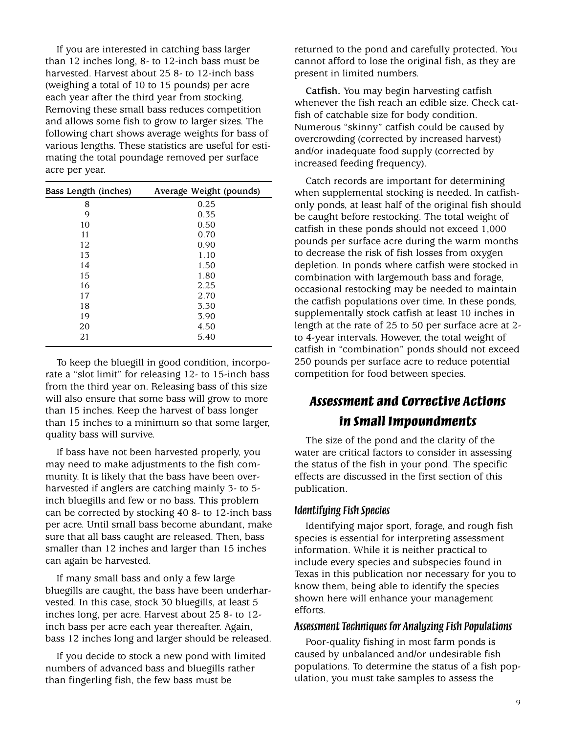If you are interested in catching bass larger than 12 inches long, 8- to 12-inch bass must be harvested. Harvest about 25 8- to 12-inch bass (weighing a total of 10 to 15 pounds) per acre each year after the third year from stocking. Removing these small bass reduces competition and allows some fish to grow to larger sizes. The following chart shows average weights for bass of various lengths. These statistics are useful for estimating the total poundage removed per surface acre per year.

| Bass Length (inches) | Average Weight (pounds) |
|----------------------|-------------------------|
| 8                    | 0.25                    |
| 9                    | 0.35                    |
| 10                   | 0.50                    |
| 11                   | 0.70                    |
| 12                   | 0.90                    |
| 13                   | 1.10                    |
| 14                   | 1.50                    |
| 15                   | 1.80                    |
| 16                   | 2.25                    |
| 17                   | 2.70                    |
| 18                   | 3.30                    |
| 19                   | 3.90                    |
| 20                   | 4.50                    |
| 21                   | 5.40                    |
|                      |                         |

To keep the bluegill in good condition, incorporate a "slot limit" for releasing 12- to 15-inch bass from the third year on. Releasing bass of this size will also ensure that some bass will grow to more than 15 inches. Keep the harvest of bass longer than 15 inches to a minimum so that some larger, quality bass will survive.

If bass have not been harvested properly, you may need to make adjustments to the fish community. It is likely that the bass have been overharvested if anglers are catching mainly 3- to 5 inch bluegills and few or no bass. This problem can be corrected by stocking 40 8- to 12-inch bass per acre. Until small bass become abundant, make sure that all bass caught are released. Then, bass smaller than 12 inches and larger than 15 inches can again be harvested.

If many small bass and only a few large bluegills are caught, the bass have been underharvested. In this case, stock 30 bluegills, at least 5 inches long, per acre. Harvest about 25 8- to 12 inch bass per acre each year thereafter. Again, bass 12 inches long and larger should be released.

If you decide to stock a new pond with limited numbers of advanced bass and bluegills rather than fingerling fish, the few bass must be

returned to the pond and carefully protected. You cannot afford to lose the original fish, as they are present in limited numbers.

**Catfish.** You may begin harvesting catfish whenever the fish reach an edible size. Check catfish of catchable size for body condition. Numerous "skinny" catfish could be caused by overcrowding (corrected by increased harvest) and/or inadequate food supply (corrected by increased feeding frequency).

Catch records are important for determining when supplemental stocking is needed. In catfishonly ponds, at least half of the original fish should be caught before restocking. The total weight of catfish in these ponds should not exceed 1,000 pounds per surface acre during the warm months to decrease the risk of fish losses from oxygen depletion. In ponds where catfish were stocked in combination with largemouth bass and forage, occasional restocking may be needed to maintain the catfish populations over time. In these ponds, supplementally stock catfish at least 10 inches in length at the rate of 25 to 50 per surface acre at 2 to 4-year intervals. However, the total weight of catfish in "combination" ponds should not exceed 250 pounds per surface acre to reduce potential competition for food between species.

## *Assessment and Corrective Actions in Small Impoundments*

The size of the pond and the clarity of the water are critical factors to consider in assessing the status of the fish in your pond. The specific effects are discussed in the first section of this publication.

#### *Identifying Fish Species*

Identifying major sport, forage, and rough fish species is essential for interpreting assessment information. While it is neither practical to include every species and subspecies found in Texas in this publication nor necessary for you to know them, being able to identify the species shown here will enhance your management efforts.

#### *Assessment Techniques for Analyzing Fish Populations*

Poor-quality fishing in most farm ponds is caused by unbalanced and/or undesirable fish populations. To determine the status of a fish population, you must take samples to assess the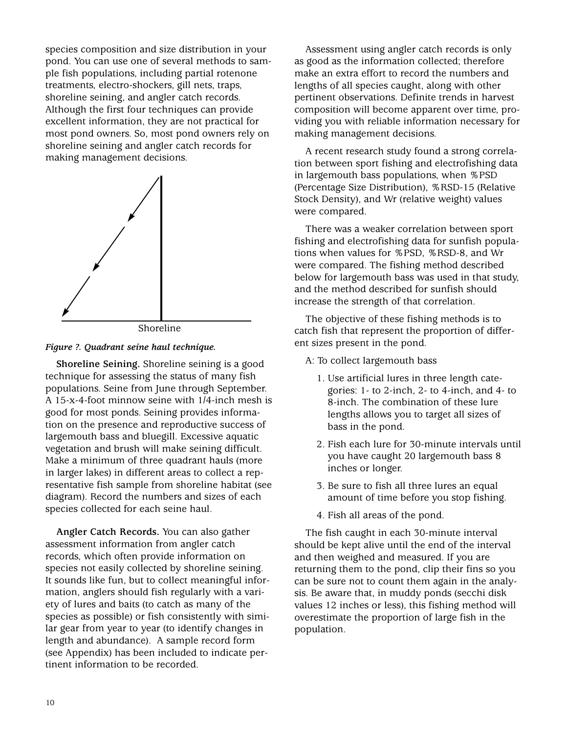species composition and size distribution in your pond. You can use one of several methods to sample fish populations, including partial rotenone treatments, electro-shockers, gill nets, traps, shoreline seining, and angler catch records. Although the first four techniques can provide excellent information, they are not practical for most pond owners. So, most pond owners rely on shoreline seining and angler catch records for making management decisions.







**Shoreline Seining.** Shoreline seining is a good technique for assessing the status of many fish populations. Seine from June through September. A 15-x-4-foot minnow seine with 1/4-inch mesh is good for most ponds. Seining provides information on the presence and reproductive success of largemouth bass and bluegill. Excessive aquatic vegetation and brush will make seining difficult. Make a minimum of three quadrant hauls (more in larger lakes) in different areas to collect a representative fish sample from shoreline habitat (see diagram). Record the numbers and sizes of each species collected for each seine haul.

**Angler Catch Records.** You can also gather assessment information from angler catch records, which often provide information on species not easily collected by shoreline seining. It sounds like fun, but to collect meaningful information, anglers should fish regularly with a variety of lures and baits (to catch as many of the species as possible) or fish consistently with similar gear from year to year (to identify changes in length and abundance). A sample record form (see Appendix) has been included to indicate pertinent information to be recorded.

Assessment using angler catch records is only as good as the information collected; therefore make an extra effort to record the numbers and lengths of all species caught, along with other pertinent observations. Definite trends in harvest composition will become apparent over time, providing you with reliable information necessary for making management decisions.

A recent research study found a strong correlation between sport fishing and electrofishing data in largemouth bass populations, when %PSD (Percentage Size Distribution), %RSD-15 (Relative Stock Density), and Wr (relative weight) values were compared.

There was a weaker correlation between sport fishing and electrofishing data for sunfish populations when values for %PSD, %RSD-8, and Wr were compared. The fishing method described below for largemouth bass was used in that study, and the method described for sunfish should increase the strength of that correlation.

The objective of these fishing methods is to catch fish that represent the proportion of different sizes present in the pond.

- A: To collect largemouth bass
	- 1. Use artificial lures in three length categories: 1- to 2-inch, 2- to 4-inch, and 4- to 8-inch. The combination of these lure lengths allows you to target all sizes of bass in the pond.
	- 2. Fish each lure for 30-minute intervals until you have caught 20 largemouth bass 8 inches or longer.
	- 3. Be sure to fish all three lures an equal amount of time before you stop fishing.
	- 4. Fish all areas of the pond.

The fish caught in each 30-minute interval should be kept alive until the end of the interval and then weighed and measured. If you are returning them to the pond, clip their fins so you can be sure not to count them again in the analysis. Be aware that, in muddy ponds (secchi disk values 12 inches or less), this fishing method will overestimate the proportion of large fish in the population.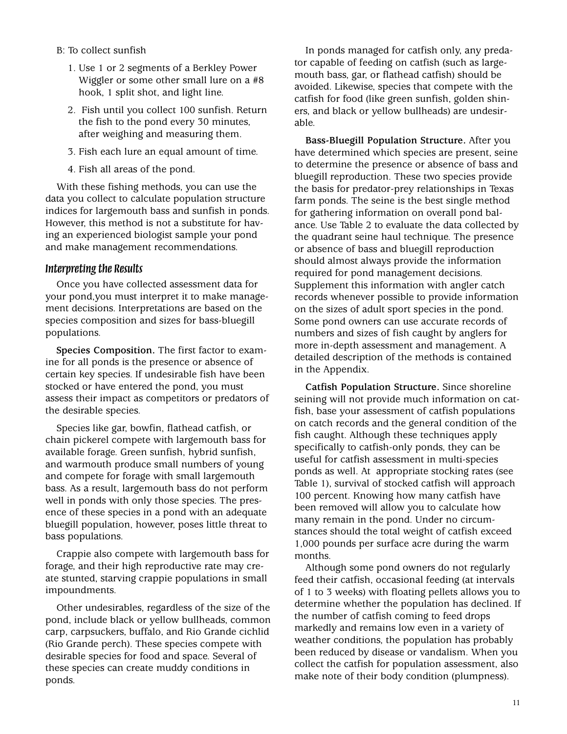- B: To collect sunfish
	- 1. Use 1 or 2 segments of a Berkley Power Wiggler or some other small lure on a #8 hook, 1 split shot, and light line.
	- 2. Fish until you collect 100 sunfish. Return the fish to the pond every 30 minutes, after weighing and measuring them.
	- 3. Fish each lure an equal amount of time.
	- 4. Fish all areas of the pond.

With these fishing methods, you can use the data you collect to calculate population structure indices for largemouth bass and sunfish in ponds. However, this method is not a substitute for having an experienced biologist sample your pond and make management recommendations.

#### *Interpreting the Results*

Once you have collected assessment data for your pond,you must interpret it to make management decisions. Interpretations are based on the species composition and sizes for bass-bluegill populations.

**Species Composition.** The first factor to examine for all ponds is the presence or absence of certain key species. If undesirable fish have been stocked or have entered the pond, you must assess their impact as competitors or predators of the desirable species.

Species like gar, bowfin, flathead catfish, or chain pickerel compete with largemouth bass for available forage. Green sunfish, hybrid sunfish, and warmouth produce small numbers of young and compete for forage with small largemouth bass. As a result, largemouth bass do not perform well in ponds with only those species. The presence of these species in a pond with an adequate bluegill population, however, poses little threat to bass populations.

Crappie also compete with largemouth bass for forage, and their high reproductive rate may create stunted, starving crappie populations in small impoundments.

Other undesirables, regardless of the size of the pond, include black or yellow bullheads, common carp, carpsuckers, buffalo, and Rio Grande cichlid (Rio Grande perch). These species compete with desirable species for food and space. Several of these species can create muddy conditions in ponds.

In ponds managed for catfish only, any predator capable of feeding on catfish (such as largemouth bass, gar, or flathead catfish) should be avoided. Likewise, species that compete with the catfish for food (like green sunfish, golden shiners, and black or yellow bullheads) are undesirable.

**Bass-Bluegill Population Structure.** After you have determined which species are present, seine to determine the presence or absence of bass and bluegill reproduction. These two species provide the basis for predator-prey relationships in Texas farm ponds. The seine is the best single method for gathering information on overall pond balance. Use Table 2 to evaluate the data collected by the quadrant seine haul technique. The presence or absence of bass and bluegill reproduction should almost always provide the information required for pond management decisions. Supplement this information with angler catch records whenever possible to provide information on the sizes of adult sport species in the pond. Some pond owners can use accurate records of numbers and sizes of fish caught by anglers for more in-depth assessment and management. A detailed description of the methods is contained in the Appendix.

**Catfish Population Structure.** Since shoreline seining will not provide much information on catfish, base your assessment of catfish populations on catch records and the general condition of the fish caught. Although these techniques apply specifically to catfish-only ponds, they can be useful for catfish assessment in multi-species ponds as well. At appropriate stocking rates (see Table 1), survival of stocked catfish will approach 100 percent. Knowing how many catfish have been removed will allow you to calculate how many remain in the pond. Under no circumstances should the total weight of catfish exceed 1,000 pounds per surface acre during the warm months.

Although some pond owners do not regularly feed their catfish, occasional feeding (at intervals of 1 to 3 weeks) with floating pellets allows you to determine whether the population has declined. If the number of catfish coming to feed drops markedly and remains low even in a variety of weather conditions, the population has probably been reduced by disease or vandalism. When you collect the catfish for population assessment, also make note of their body condition (plumpness).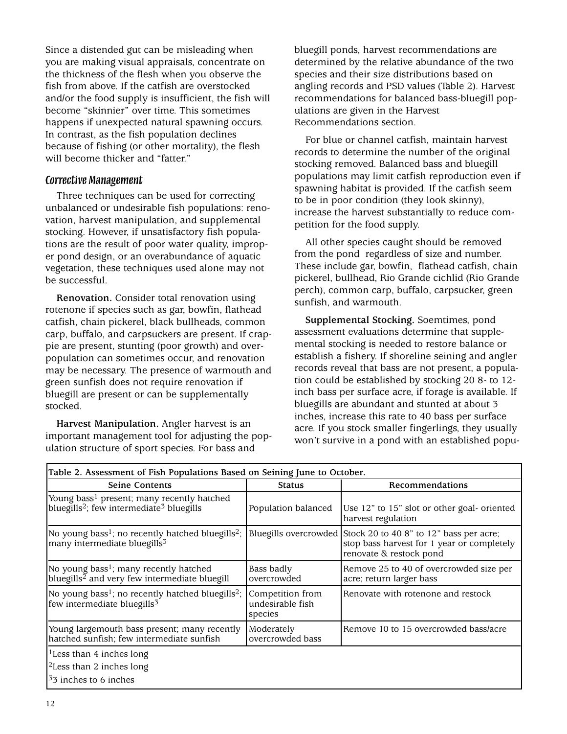Since a distended gut can be misleading when you are making visual appraisals, concentrate on the thickness of the flesh when you observe the fish from above. If the catfish are overstocked and/or the food supply is insufficient, the fish will become "skinnier" over time. This sometimes happens if unexpected natural spawning occurs. In contrast, as the fish population declines because of fishing (or other mortality), the flesh will become thicker and "fatter."

#### *Corrective Management*

Three techniques can be used for correcting unbalanced or undesirable fish populations: renovation, harvest manipulation, and supplemental stocking. However, if unsatisfactory fish populations are the result of poor water quality, improper pond design, or an overabundance of aquatic vegetation, these techniques used alone may not be successful.

**Renovation.** Consider total renovation using rotenone if species such as gar, bowfin, flathead catfish, chain pickerel, black bullheads, common carp, buffalo, and carpsuckers are present. If crappie are present, stunting (poor growth) and overpopulation can sometimes occur, and renovation may be necessary. The presence of warmouth and green sunfish does not require renovation if bluegill are present or can be supplementally stocked.

**Harvest Manipulation.** Angler harvest is an important management tool for adjusting the population structure of sport species. For bass and

bluegill ponds, harvest recommendations are determined by the relative abundance of the two species and their size distributions based on angling records and PSD values (Table 2). Harvest recommendations for balanced bass-bluegill populations are given in the Harvest Recommendations section.

For blue or channel catfish, maintain harvest records to determine the number of the original stocking removed. Balanced bass and bluegill populations may limit catfish reproduction even if spawning habitat is provided. If the catfish seem to be in poor condition (they look skinny), increase the harvest substantially to reduce competition for the food supply.

All other species caught should be removed from the pond regardless of size and number. These include gar, bowfin, flathead catfish, chain pickerel, bullhead, Rio Grande cichlid (Rio Grande perch), common carp, buffalo, carpsucker, green sunfish, and warmouth.

**Supplemental Stocking.** Soemtimes, pond assessment evaluations determine that supplemental stocking is needed to restore balance or establish a fishery. If shoreline seining and angler records reveal that bass are not present, a population could be established by stocking 20 8- to 12 inch bass per surface acre, if forage is available. If bluegills are abundant and stunted at about 3 inches, increase this rate to 40 bass per surface acre. If you stock smaller fingerlings, they usually won't survive in a pond with an established popu-

| Table 2. Assessment of Fish Populations Based on Seining June to October.                                                    |                                                 |                                                                                                                  |  |  |  |  |  |  |
|------------------------------------------------------------------------------------------------------------------------------|-------------------------------------------------|------------------------------------------------------------------------------------------------------------------|--|--|--|--|--|--|
| Seine Contents                                                                                                               | <b>Status</b>                                   | Recommendations                                                                                                  |  |  |  |  |  |  |
| Young bass <sup>1</sup> present; many recently hatched<br>bluegills <sup>2</sup> ; few intermediate <sup>3</sup> bluegills   | Population balanced                             | Use 12" to 15" slot or other goal-oriented<br>harvest regulation                                                 |  |  |  |  |  |  |
| No young bass <sup>1</sup> ; no recently hatched bluegills <sup>2</sup> ;<br>many intermediate bluegills <sup>3</sup>        | Bluegills overcrowded                           | Stock 20 to 40 8" to 12" bass per acre;<br>stop bass harvest for 1 year or completely<br>renovate & restock pond |  |  |  |  |  |  |
| No young bass <sup>1</sup> ; many recently hatched<br>bluegills <sup><math>2</math></sup> and very few intermediate bluegill | Bass badly<br>overcrowded                       | Remove 25 to 40 of overcrowded size per<br>acre; return larger bass                                              |  |  |  |  |  |  |
| No young bass <sup>1</sup> ; no recently hatched bluegills <sup>2</sup> ;<br>few intermediate bluegills <sup>3</sup>         | Competition from<br>undesirable fish<br>species | Renovate with rotenone and restock                                                                               |  |  |  |  |  |  |
| Young largemouth bass present; many recently<br>hatched sunfish; few intermediate sunfish                                    | Moderately<br>overcrowded bass                  | Remove 10 to 15 overcrowded bass/acre                                                                            |  |  |  |  |  |  |
| <sup>1</sup> Less than 4 inches long                                                                                         |                                                 |                                                                                                                  |  |  |  |  |  |  |
| <sup>2</sup> Less than 2 inches long                                                                                         |                                                 |                                                                                                                  |  |  |  |  |  |  |
| $33$ inches to 6 inches                                                                                                      |                                                 |                                                                                                                  |  |  |  |  |  |  |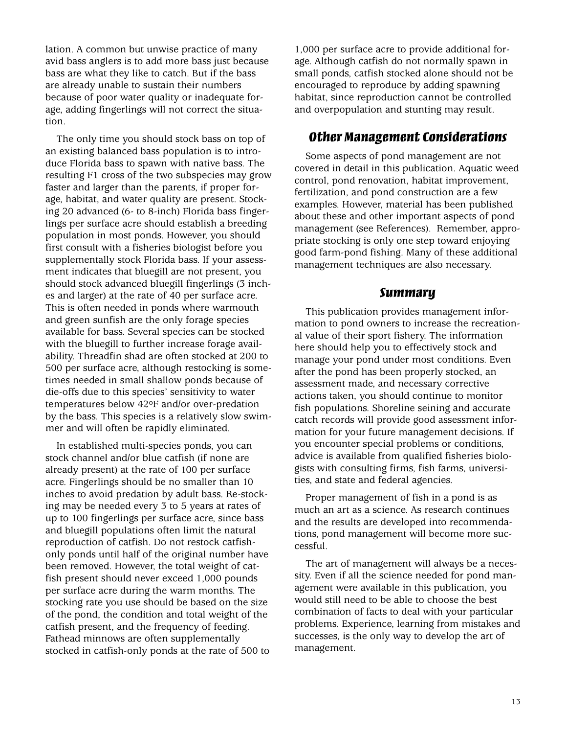lation. A common but unwise practice of many avid bass anglers is to add more bass just because bass are what they like to catch. But if the bass are already unable to sustain their numbers because of poor water quality or inadequate forage, adding fingerlings will not correct the situation.

The only time you should stock bass on top of an existing balanced bass population is to introduce Florida bass to spawn with native bass. The resulting F1 cross of the two subspecies may grow faster and larger than the parents, if proper forage, habitat, and water quality are present. Stocking 20 advanced (6- to 8-inch) Florida bass fingerlings per surface acre should establish a breeding population in most ponds. However, you should first consult with a fisheries biologist before you supplementally stock Florida bass. If your assessment indicates that bluegill are not present, you should stock advanced bluegill fingerlings (3 inches and larger) at the rate of 40 per surface acre. This is often needed in ponds where warmouth and green sunfish are the only forage species available for bass. Several species can be stocked with the bluegill to further increase forage availability. Threadfin shad are often stocked at 200 to 500 per surface acre, although restocking is sometimes needed in small shallow ponds because of die-offs due to this species' sensitivity to water temperatures below 42oF and/or over-predation by the bass. This species is a relatively slow swimmer and will often be rapidly eliminated.

In established multi-species ponds, you can stock channel and/or blue catfish (if none are already present) at the rate of 100 per surface acre. Fingerlings should be no smaller than 10 inches to avoid predation by adult bass. Re-stocking may be needed every 3 to 5 years at rates of up to 100 fingerlings per surface acre, since bass and bluegill populations often limit the natural reproduction of catfish. Do not restock catfishonly ponds until half of the original number have been removed. However, the total weight of catfish present should never exceed 1,000 pounds per surface acre during the warm months. The stocking rate you use should be based on the size of the pond, the condition and total weight of the catfish present, and the frequency of feeding. Fathead minnows are often supplementally stocked in catfish-only ponds at the rate of 500 to 1,000 per surface acre to provide additional forage. Although catfish do not normally spawn in small ponds, catfish stocked alone should not be encouraged to reproduce by adding spawning habitat, since reproduction cannot be controlled and overpopulation and stunting may result.

#### *Other Management Considerations*

Some aspects of pond management are not covered in detail in this publication. Aquatic weed control, pond renovation, habitat improvement, fertilization, and pond construction are a few examples. However, material has been published about these and other important aspects of pond management (see References). Remember, appropriate stocking is only one step toward enjoying good farm-pond fishing. Many of these additional management techniques are also necessary.

#### *Summary*

This publication provides management information to pond owners to increase the recreational value of their sport fishery. The information here should help you to effectively stock and manage your pond under most conditions. Even after the pond has been properly stocked, an assessment made, and necessary corrective actions taken, you should continue to monitor fish populations. Shoreline seining and accurate catch records will provide good assessment information for your future management decisions. If you encounter special problems or conditions, advice is available from qualified fisheries biologists with consulting firms, fish farms, universities, and state and federal agencies.

Proper management of fish in a pond is as much an art as a science. As research continues and the results are developed into recommendations, pond management will become more successful.

The art of management will always be a necessity. Even if all the science needed for pond management were available in this publication, you would still need to be able to choose the best combination of facts to deal with your particular problems. Experience, learning from mistakes and successes, is the only way to develop the art of management.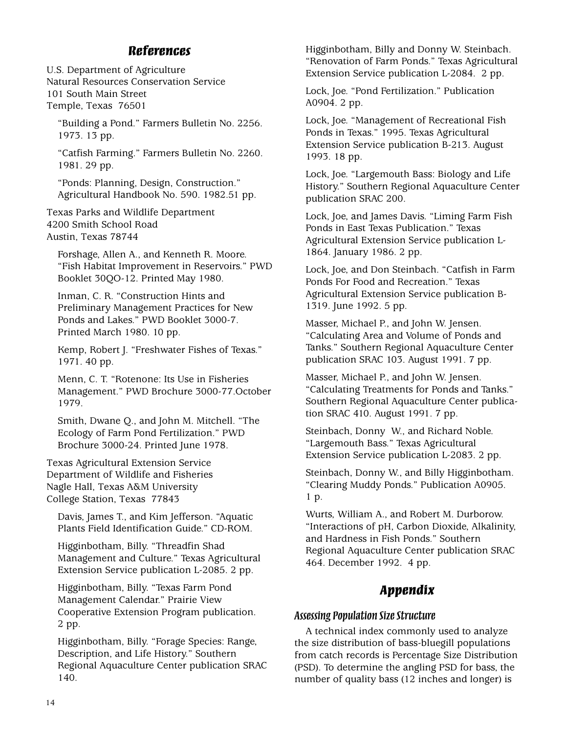### *References*

U.S. Department of Agriculture Natural Resources Conservation Service 101 South Main Street Temple, Texas 76501

"Building a Pond." Farmers Bulletin No. 2256. 1973. 13 pp.

"Catfish Farming." Farmers Bulletin No. 2260. 1981. 29 pp.

"Ponds: Planning, Design, Construction." Agricultural Handbook No. 590. 1982.51 pp.

Texas Parks and Wildlife Department 4200 Smith School Road Austin, Texas 78744

Forshage, Allen A., and Kenneth R. Moore. "Fish Habitat Improvement in Reservoirs." PWD Booklet 30QO-12. Printed May 1980.

Inman, C. R. "Construction Hints and Preliminary Management Practices for New Ponds and Lakes." PWD Booklet 3000-7. Printed March 1980. 10 pp.

Kemp, Robert J. "Freshwater Fishes of Texas." 1971. 40 pp.

Menn, C. T. "Rotenone: Its Use in Fisheries Management." PWD Brochure 3000-77.October 1979.

Smith, Dwane Q., and John M. Mitchell. "The Ecology of Farm Pond Fertilization." PWD Brochure 3000-24. Printed June 1978.

Texas Agricultural Extension Service Department of Wildlife and Fisheries Nagle Hall, Texas A&M University College Station, Texas 77843

Davis, James T., and Kim Jefferson. "Aquatic Plants Field Identification Guide." CD-ROM.

Higginbotham, Billy. "Threadfin Shad Management and Culture." Texas Agricultural Extension Service publication L-2085. 2 pp.

Higginbotham, Billy. "Texas Farm Pond Management Calendar." Prairie View Cooperative Extension Program publication. 2 pp.

Higginbotham, Billy. "Forage Species: Range, Description, and Life History." Southern Regional Aquaculture Center publication SRAC 140.

Higginbotham, Billy and Donny W. Steinbach. "Renovation of Farm Ponds." Texas Agricultural Extension Service publication L-2084. 2 pp.

Lock, Joe. "Pond Fertilization." Publication A0904. 2 pp.

Lock, Joe. "Management of Recreational Fish Ponds in Texas." 1995. Texas Agricultural Extension Service publication B-213. August 1993. 18 pp.

Lock, Joe. "Largemouth Bass: Biology and Life History." Southern Regional Aquaculture Center publication SRAC 200.

Lock, Joe, and James Davis. "Liming Farm Fish Ponds in East Texas Publication." Texas Agricultural Extension Service publication L-1864. January 1986. 2 pp.

Lock, Joe, and Don Steinbach. "Catfish in Farm Ponds For Food and Recreation." Texas Agricultural Extension Service publication B-1319. June 1992. 5 pp.

Masser, Michael P., and John W. Jensen. "Calculating Area and Volume of Ponds and Tanks." Southern Regional Aquaculture Center publication SRAC 103. August 1991. 7 pp.

Masser, Michael P., and John W. Jensen. "Calculating Treatments for Ponds and Tanks." Southern Regional Aquaculture Center publication SRAC 410. August 1991. 7 pp.

Steinbach, Donny W., and Richard Noble. "Largemouth Bass." Texas Agricultural Extension Service publication L-2083. 2 pp.

Steinbach, Donny W., and Billy Higginbotham. "Clearing Muddy Ponds." Publication A0905. 1 p.

Wurts, William A., and Robert M. Durborow. "Interactions of pH, Carbon Dioxide, Alkalinity, and Hardness in Fish Ponds." Southern Regional Aquaculture Center publication SRAC 464. December 1992. 4 pp.

## *Appendix*

#### *Assessing Population Size Structure*

A technical index commonly used to analyze the size distribution of bass-bluegill populations from catch records is Percentage Size Distribution (PSD). To determine the angling PSD for bass, the number of quality bass (12 inches and longer) is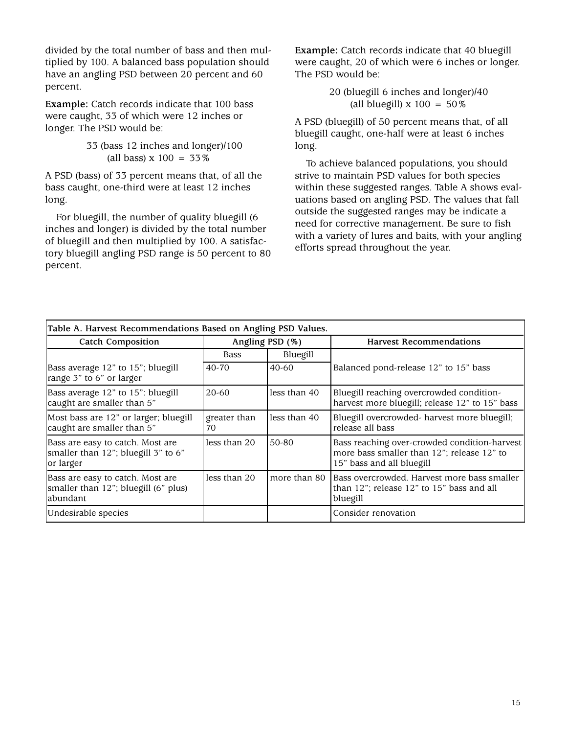divided by the total number of bass and then multiplied by 100. A balanced bass population should have an angling PSD between 20 percent and 60 percent.

**Example:** Catch records indicate that 100 bass were caught, 33 of which were 12 inches or longer. The PSD would be:

> 33 (bass 12 inches and longer)/100 (all bass)  $x 100 = 33\%$

A PSD (bass) of 33 percent means that, of all the bass caught, one-third were at least 12 inches long.

For bluegill, the number of quality bluegill (6 inches and longer) is divided by the total number of bluegill and then multiplied by 100. A satisfactory bluegill angling PSD range is 50 percent to 80 percent.

**Example:** Catch records indicate that 40 bluegill were caught, 20 of which were 6 inches or longer. The PSD would be:

> 20 (bluegill 6 inches and longer)/40 (all bluegill)  $x 100 = 50\%$

A PSD (bluegill) of 50 percent means that, of all bluegill caught, one-half were at least 6 inches long.

To achieve balanced populations, you should strive to maintain PSD values for both species within these suggested ranges. Table A shows evaluations based on angling PSD. The values that fall outside the suggested ranges may be indicate a need for corrective management. Be sure to fish with a variety of lures and baits, with your angling efforts spread throughout the year.

| Table A. Harvest Recommendations Based on Angling PSD Values.                         |                    |                 |                                                                                                                         |  |  |  |  |  |
|---------------------------------------------------------------------------------------|--------------------|-----------------|-------------------------------------------------------------------------------------------------------------------------|--|--|--|--|--|
| <b>Catch Composition</b>                                                              |                    | Angling PSD (%) | <b>Harvest Recommendations</b>                                                                                          |  |  |  |  |  |
|                                                                                       | Bass               | Bluegill        |                                                                                                                         |  |  |  |  |  |
| Bass average 12" to 15"; bluegill<br>range 3" to 6" or larger                         | $40-70$            | $40-60$         | Balanced pond-release 12" to 15" bass                                                                                   |  |  |  |  |  |
| Bass average 12" to 15": bluegill<br>caught are smaller than 5"                       | $20 - 60$          | less than 40    | Bluegill reaching overcrowded condition-<br>harvest more bluegill; release 12" to 15" bass                              |  |  |  |  |  |
| Most bass are 12" or larger; bluegill<br>caught are smaller than 5"                   | greater than<br>70 | less than 40    | Bluegill overcrowded- harvest more bluegill;<br>release all bass                                                        |  |  |  |  |  |
| Bass are easy to catch. Most are<br>smaller than 12"; bluegill 3" to 6"<br>or larger  | less than 20       | 50-80           | Bass reaching over-crowded condition-harvest<br>more bass smaller than 12"; release 12" to<br>15" bass and all bluegill |  |  |  |  |  |
| Bass are easy to catch. Most are<br>smaller than 12"; bluegill (6" plus)<br>labundant | less than 20       | more than 80    | Bass overcrowded. Harvest more bass smaller<br>than 12"; release 12" to 15" bass and all<br>bluegill                    |  |  |  |  |  |
| Undesirable species                                                                   |                    |                 | Consider renovation                                                                                                     |  |  |  |  |  |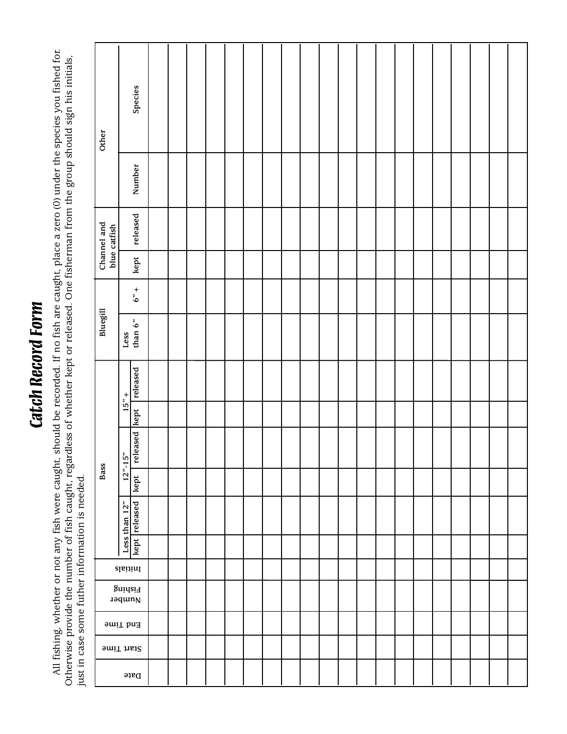# **Catch Record Form** *Catch Record Form*

All fishing, whether or not any fish were caught, should be recorded. If no fish are caught, place a zero (0) under the species you fished for.<br>Otherwise provide the number of fish caught, regardless of whether kept or rel All fishing, whether or not any fish were caught, should be recorded. If no fish are caught, place a zero (0) under the species you fished for. Otherwise provide the number of fish caught, regardless of whether kept or released. One fisherman from the group should sign his initials, just in case some futher information is needed. just in case some futher information is needed.

| Other    |                                        |                                                                                                        | Species       |  |  |  |  |  |  |  |  |  |  |
|----------|----------------------------------------|--------------------------------------------------------------------------------------------------------|---------------|--|--|--|--|--|--|--|--|--|--|
|          |                                        |                                                                                                        | Number        |  |  |  |  |  |  |  |  |  |  |
|          | Channel and<br>blue catfish            |                                                                                                        | released      |  |  |  |  |  |  |  |  |  |  |
|          |                                        |                                                                                                        | kept          |  |  |  |  |  |  |  |  |  |  |
|          |                                        |                                                                                                        | $6"$ +        |  |  |  |  |  |  |  |  |  |  |
| Bluegill |                                        | Less                                                                                                   | than $6"$     |  |  |  |  |  |  |  |  |  |  |
|          |                                        | $15" +$                                                                                                | released      |  |  |  |  |  |  |  |  |  |  |
|          |                                        |                                                                                                        |               |  |  |  |  |  |  |  |  |  |  |
|          |                                        | $12^{n} - 15^{n}$                                                                                      | released kept |  |  |  |  |  |  |  |  |  |  |
| Bass     |                                        |                                                                                                        | kept          |  |  |  |  |  |  |  |  |  |  |
|          |                                        | $\begin{array}{ l }\n \hline \text{Les than 12"} \\ \hline \text{kept} \text{ released}\n \end{array}$ |               |  |  |  |  |  |  |  |  |  |  |
|          |                                        |                                                                                                        |               |  |  |  |  |  |  |  |  |  |  |
|          | $\frac{1}{2}$                          |                                                                                                        |               |  |  |  |  |  |  |  |  |  |  |
|          | Fishing<br>$\text{u}$ aquin $\text{N}$ |                                                                                                        |               |  |  |  |  |  |  |  |  |  |  |
|          | End Time                               |                                                                                                        |               |  |  |  |  |  |  |  |  |  |  |
|          | Start Time                             |                                                                                                        |               |  |  |  |  |  |  |  |  |  |  |
|          | $\operatorname{\textsf{Date}}$         |                                                                                                        |               |  |  |  |  |  |  |  |  |  |  |